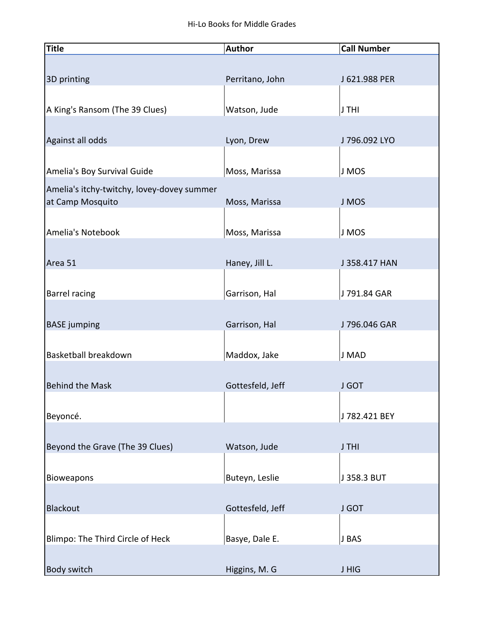| <b>Title</b>                               | <b>Author</b>    | <b>Call Number</b> |
|--------------------------------------------|------------------|--------------------|
|                                            |                  |                    |
| 3D printing                                | Perritano, John  | J 621.988 PER      |
|                                            |                  |                    |
| A King's Ransom (The 39 Clues)             | Watson, Jude     | J THI              |
|                                            |                  |                    |
| Against all odds                           | Lyon, Drew       | J 796.092 LYO      |
|                                            |                  |                    |
| Amelia's Boy Survival Guide                | Moss, Marissa    | J MOS              |
| Amelia's itchy-twitchy, lovey-dovey summer |                  |                    |
| at Camp Mosquito                           | Moss, Marissa    | J MOS              |
|                                            |                  |                    |
| Amelia's Notebook                          | Moss, Marissa    | J MOS              |
|                                            |                  |                    |
| Area 51                                    | Haney, Jill L.   | J 358.417 HAN      |
|                                            |                  |                    |
| <b>Barrel racing</b>                       | Garrison, Hal    | J 791.84 GAR       |
| <b>BASE</b> jumping                        | Garrison, Hal    | J 796.046 GAR      |
|                                            |                  |                    |
| Basketball breakdown                       | Maddox, Jake     | J MAD              |
|                                            |                  |                    |
| <b>Behind the Mask</b>                     | Gottesfeld, Jeff | <b>J GOT</b>       |
|                                            |                  |                    |
| Beyoncé.                                   |                  | J 782.421 BEY      |
|                                            |                  |                    |
| Beyond the Grave (The 39 Clues)            | Watson, Jude     | J THI              |
|                                            |                  |                    |
| <b>Bioweapons</b>                          | Buteyn, Leslie   | J 358.3 BUT        |
|                                            |                  |                    |
| <b>Blackout</b>                            | Gottesfeld, Jeff | <b>J GOT</b>       |
|                                            |                  |                    |
| Blimpo: The Third Circle of Heck           | Basye, Dale E.   | J BAS              |
|                                            |                  |                    |
| <b>Body switch</b>                         | Higgins, M. G    | <b>JHIG</b>        |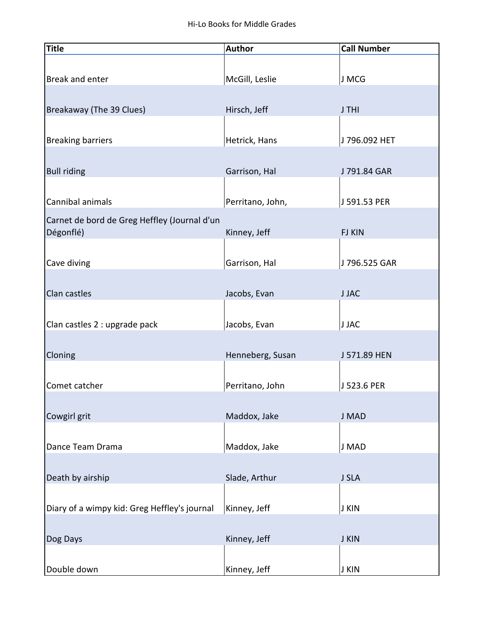| <b>Title</b>                                 | <b>Author</b>    | <b>Call Number</b> |
|----------------------------------------------|------------------|--------------------|
|                                              |                  |                    |
| Break and enter                              | McGill, Leslie   | J MCG              |
|                                              |                  |                    |
| Breakaway (The 39 Clues)                     | Hirsch, Jeff     | J THI              |
|                                              |                  |                    |
| <b>Breaking barriers</b>                     | Hetrick, Hans    | J 796.092 HET      |
|                                              |                  |                    |
| <b>Bull riding</b>                           | Garrison, Hal    | J 791.84 GAR       |
|                                              |                  |                    |
| Cannibal animals                             | Perritano, John, | J 591.53 PER       |
| Carnet de bord de Greg Heffley (Journal d'un |                  |                    |
| Dégonflé)                                    | Kinney, Jeff     | <b>FJ KIN</b>      |
|                                              |                  |                    |
| Cave diving                                  | Garrison, Hal    | J 796.525 GAR      |
|                                              |                  |                    |
| Clan castles                                 | Jacobs, Evan     | <b>JJAC</b>        |
|                                              |                  |                    |
| Clan castles 2 : upgrade pack                | Jacobs, Evan     | <b>J JAC</b>       |
|                                              |                  |                    |
| Cloning                                      | Henneberg, Susan | J 571.89 HEN       |
|                                              |                  |                    |
| Comet catcher                                | Perritano, John  | J 523.6 PER        |
|                                              |                  |                    |
| Cowgirl grit                                 | Maddox, Jake     | J MAD              |
|                                              |                  |                    |
| Dance Team Drama                             | Maddox, Jake     | J MAD              |
|                                              |                  |                    |
| Death by airship                             | Slade, Arthur    | J SLA              |
|                                              |                  |                    |
| Diary of a wimpy kid: Greg Heffley's journal | Kinney, Jeff     | <b>J KIN</b>       |
|                                              |                  |                    |
| Dog Days                                     | Kinney, Jeff     | <b>J KIN</b>       |
|                                              |                  |                    |
| Double down                                  | Kinney, Jeff     | J KIN              |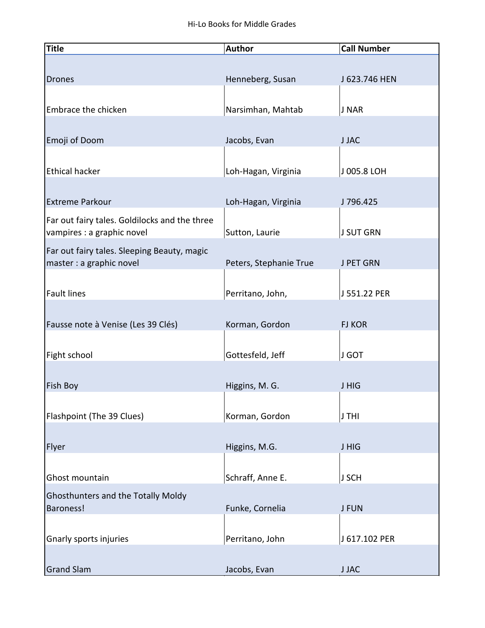| <b>Title</b>                                  | <b>Author</b>          | <b>Call Number</b> |
|-----------------------------------------------|------------------------|--------------------|
|                                               |                        |                    |
| <b>Drones</b>                                 | Henneberg, Susan       | J 623.746 HEN      |
|                                               |                        |                    |
| Embrace the chicken                           | Narsimhan, Mahtab      | J NAR              |
|                                               |                        |                    |
| Emoji of Doom                                 | Jacobs, Evan           | <b>JJAC</b>        |
|                                               |                        |                    |
| <b>Ethical hacker</b>                         | Loh-Hagan, Virginia    | J 005.8 LOH        |
|                                               |                        |                    |
| <b>Extreme Parkour</b>                        | Loh-Hagan, Virginia    | J796.425           |
| Far out fairy tales. Goldilocks and the three |                        |                    |
| vampires : a graphic novel                    | Sutton, Laurie         | <b>J SUT GRN</b>   |
| Far out fairy tales. Sleeping Beauty, magic   |                        |                    |
| master : a graphic novel                      | Peters, Stephanie True | J PET GRN          |
|                                               |                        |                    |
| <b>Fault lines</b>                            | Perritano, John,       | J 551.22 PER       |
|                                               |                        |                    |
| Fausse note à Venise (Les 39 Clés)            | Korman, Gordon         | <b>FJ KOR</b>      |
|                                               |                        |                    |
| Fight school                                  | Gottesfeld, Jeff       | J GOT              |
| <b>Fish Boy</b>                               | Higgins, M. G.         | <b>JHIG</b>        |
|                                               |                        |                    |
| Flashpoint (The 39 Clues)                     | Korman, Gordon         | J THI              |
|                                               |                        |                    |
| Flyer                                         | Higgins, M.G.          | J HIG              |
|                                               |                        |                    |
| Ghost mountain                                | Schraff, Anne E.       | J SCH              |
| <b>Ghosthunters and the Totally Moldy</b>     |                        |                    |
| <b>Baroness!</b>                              | Funke, Cornelia        | <b>J FUN</b>       |
|                                               |                        |                    |
| Gnarly sports injuries                        | Perritano, John        | J 617.102 PER      |
|                                               |                        |                    |
| <b>Grand Slam</b>                             | Jacobs, Evan           | <b>JJAC</b>        |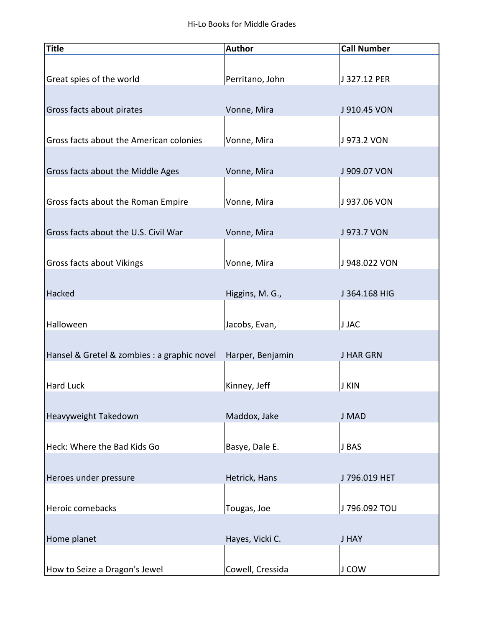| <b>Title</b>                                | <b>Author</b>    | <b>Call Number</b> |
|---------------------------------------------|------------------|--------------------|
|                                             |                  |                    |
| Great spies of the world                    | Perritano, John  | J 327.12 PER       |
|                                             |                  |                    |
| Gross facts about pirates                   | Vonne, Mira      | J 910.45 VON       |
|                                             |                  |                    |
| Gross facts about the American colonies     | Vonne, Mira      | J 973.2 VON        |
|                                             |                  |                    |
| Gross facts about the Middle Ages           | Vonne, Mira      | J 909.07 VON       |
|                                             |                  |                    |
| Gross facts about the Roman Empire          | Vonne, Mira      | J 937.06 VON       |
|                                             |                  |                    |
| Gross facts about the U.S. Civil War        | Vonne, Mira      | J 973.7 VON        |
|                                             |                  |                    |
| <b>Gross facts about Vikings</b>            | Vonne, Mira      | J 948.022 VON      |
|                                             |                  |                    |
| Hacked                                      | Higgins, M. G.,  | J 364.168 HIG      |
|                                             |                  |                    |
| Halloween                                   | Jacobs, Evan,    | <b>J JAC</b>       |
|                                             |                  |                    |
| Hansel & Gretel & zombies : a graphic novel | Harper, Benjamin | <b>J HAR GRN</b>   |
|                                             |                  |                    |
| <b>Hard Luck</b>                            | Kinney, Jeff     | J KIN              |
|                                             |                  |                    |
| Heavyweight Takedown                        | Maddox, Jake     | J MAD              |
|                                             |                  |                    |
| Heck: Where the Bad Kids Go                 | Basye, Dale E.   | J BAS              |
|                                             |                  |                    |
| Heroes under pressure                       | Hetrick, Hans    | J 796.019 HET      |
|                                             |                  |                    |
| Heroic comebacks                            | Tougas, Joe      | J 796.092 TOU      |
|                                             |                  |                    |
| Home planet                                 | Hayes, Vicki C.  | <b>J HAY</b>       |
|                                             |                  |                    |
| How to Seize a Dragon's Jewel               | Cowell, Cressida | J COW              |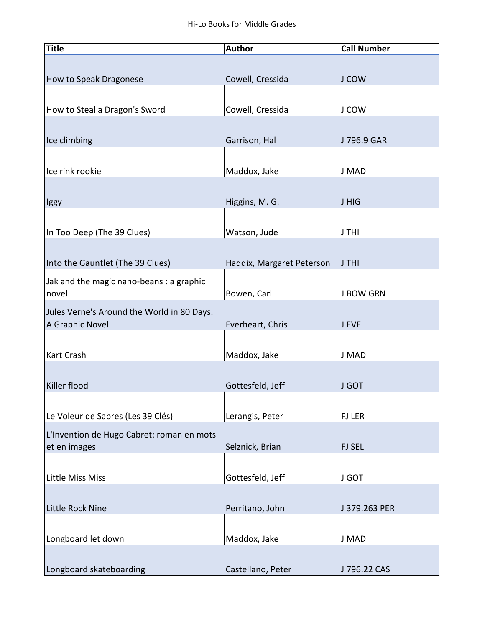| <b>Title</b>                                                  | <b>Author</b>             | <b>Call Number</b> |
|---------------------------------------------------------------|---------------------------|--------------------|
|                                                               |                           |                    |
| How to Speak Dragonese                                        | Cowell, Cressida          | J COW              |
|                                                               |                           |                    |
| How to Steal a Dragon's Sword                                 | Cowell, Cressida          | J COW              |
|                                                               |                           |                    |
| Ice climbing                                                  | Garrison, Hal             | J 796.9 GAR        |
|                                                               |                           |                    |
| Ice rink rookie                                               | Maddox, Jake              | J MAD              |
|                                                               |                           |                    |
| lggy                                                          | Higgins, M. G.            | J HIG              |
|                                                               |                           |                    |
| In Too Deep (The 39 Clues)                                    | Watson, Jude              | J THI              |
|                                                               |                           |                    |
| Into the Gauntlet (The 39 Clues)                              | Haddix, Margaret Peterson | J THI              |
| Jak and the magic nano-beans : a graphic                      |                           |                    |
| novel                                                         | Bowen, Carl               | <b>J BOW GRN</b>   |
| Jules Verne's Around the World in 80 Days:<br>A Graphic Novel | Everheart, Chris          | J EVE              |
|                                                               |                           |                    |
| <b>Kart Crash</b>                                             | Maddox, Jake              | J MAD              |
|                                                               |                           |                    |
| Killer flood                                                  | Gottesfeld, Jeff          | <b>J GOT</b>       |
|                                                               |                           |                    |
| Le Voleur de Sabres (Les 39 Clés)                             | Lerangis, Peter           | <b>FJ LER</b>      |
| L'Invention de Hugo Cabret: roman en mots                     |                           |                    |
| et en images                                                  | Selznick, Brian           | <b>FJ SEL</b>      |
|                                                               |                           |                    |
| <b>Little Miss Miss</b>                                       | Gottesfeld, Jeff          | J GOT              |
|                                                               |                           |                    |
| Little Rock Nine                                              | Perritano, John           | J 379.263 PER      |
|                                                               |                           |                    |
| Longboard let down                                            | Maddox, Jake              | J MAD              |
|                                                               |                           |                    |
| Longboard skateboarding                                       | Castellano, Peter         | J 796.22 CAS       |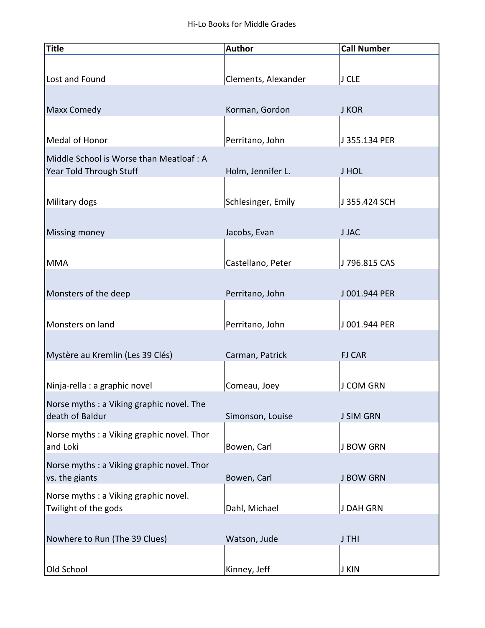| <b>Title</b>                                                       | <b>Author</b>       | <b>Call Number</b> |
|--------------------------------------------------------------------|---------------------|--------------------|
|                                                                    |                     |                    |
| Lost and Found                                                     | Clements, Alexander | J CLE              |
|                                                                    |                     |                    |
| <b>Maxx Comedy</b>                                                 | Korman, Gordon      | <b>J KOR</b>       |
|                                                                    |                     |                    |
| Medal of Honor                                                     | Perritano, John     | J 355.134 PER      |
|                                                                    |                     |                    |
| Middle School is Worse than Meatloaf: A<br>Year Told Through Stuff | Holm, Jennifer L.   | <b>JHOL</b>        |
|                                                                    |                     |                    |
|                                                                    |                     |                    |
| Military dogs                                                      | Schlesinger, Emily  | J 355.424 SCH      |
|                                                                    |                     |                    |
| <b>Missing money</b>                                               | Jacobs, Evan        | <b>JJAC</b>        |
|                                                                    |                     |                    |
| <b>MMA</b>                                                         | Castellano, Peter   | J 796.815 CAS      |
|                                                                    |                     |                    |
| Monsters of the deep                                               | Perritano, John     | J 001.944 PER      |
|                                                                    |                     |                    |
| Monsters on land                                                   | Perritano, John     | J 001.944 PER      |
|                                                                    |                     |                    |
| Mystère au Kremlin (Les 39 Clés)                                   | Carman, Patrick     | <b>FJ CAR</b>      |
|                                                                    |                     |                    |
| Ninja-rella : a graphic novel                                      | Comeau, Joey        | J COM GRN          |
| Norse myths: a Viking graphic novel. The                           |                     |                    |
| death of Baldur                                                    | Simonson, Louise    | <b>J SIM GRN</b>   |
| Norse myths : a Viking graphic novel. Thor                         |                     |                    |
| and Loki                                                           | Bowen, Carl         | <b>J BOW GRN</b>   |
| Norse myths : a Viking graphic novel. Thor                         |                     |                    |
| vs. the giants                                                     | Bowen, Carl         | <b>J BOW GRN</b>   |
|                                                                    |                     |                    |
| Norse myths : a Viking graphic novel.<br>Twilight of the gods      | Dahl, Michael       | J DAH GRN          |
|                                                                    |                     |                    |
|                                                                    |                     |                    |
| Nowhere to Run (The 39 Clues)                                      | Watson, Jude        | J THI              |
|                                                                    |                     |                    |
| Old School                                                         | Kinney, Jeff        | J KIN              |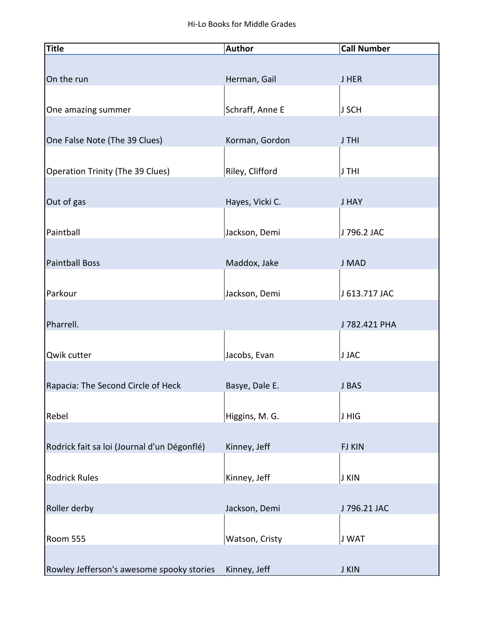| <b>Title</b>                                | <b>Author</b>   | <b>Call Number</b> |
|---------------------------------------------|-----------------|--------------------|
|                                             |                 |                    |
| On the run                                  | Herman, Gail    | <b>JHER</b>        |
|                                             |                 |                    |
| One amazing summer                          | Schraff, Anne E | J SCH              |
|                                             |                 |                    |
| One False Note (The 39 Clues)               | Korman, Gordon  | J THI              |
|                                             |                 |                    |
| Operation Trinity (The 39 Clues)            | Riley, Clifford | J THI              |
|                                             |                 |                    |
| Out of gas                                  | Hayes, Vicki C. | <b>J HAY</b>       |
|                                             |                 |                    |
| Paintball                                   | Jackson, Demi   | J 796.2 JAC        |
|                                             |                 |                    |
| <b>Paintball Boss</b>                       | Maddox, Jake    | J MAD              |
|                                             |                 |                    |
| Parkour                                     | Jackson, Demi   | J 613.717 JAC      |
|                                             |                 |                    |
| Pharrell.                                   |                 | J 782.421 PHA      |
|                                             |                 |                    |
| Qwik cutter                                 | Jacobs, Evan    | <b>J JAC</b>       |
|                                             |                 |                    |
| Rapacia: The Second Circle of Heck          | Basye, Dale E.  | J BAS              |
|                                             |                 |                    |
| Rebel                                       | Higgins, M. G.  | J HIG              |
|                                             |                 |                    |
| Rodrick fait sa loi (Journal d'un Dégonflé) | Kinney, Jeff    | <b>FJ KIN</b>      |
|                                             |                 |                    |
| <b>Rodrick Rules</b>                        | Kinney, Jeff    | <b>J KIN</b>       |
|                                             |                 |                    |
| Roller derby                                | Jackson, Demi   | J 796.21 JAC       |
|                                             |                 |                    |
| <b>Room 555</b>                             | Watson, Cristy  | J WAT              |
|                                             |                 |                    |
| Rowley Jefferson's awesome spooky stories   | Kinney, Jeff    | <b>J KIN</b>       |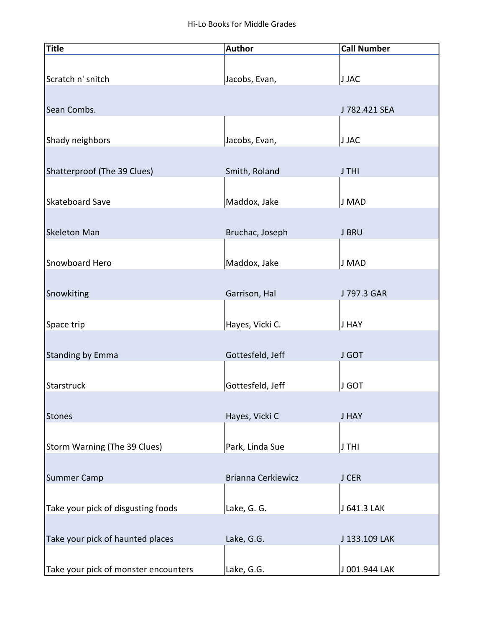| <b>Title</b>                         | <b>Author</b>             | <b>Call Number</b> |
|--------------------------------------|---------------------------|--------------------|
|                                      |                           |                    |
| Scratch n' snitch                    | Jacobs, Evan,             | J JAC              |
|                                      |                           |                    |
| Sean Combs.                          |                           | J 782.421 SEA      |
|                                      |                           |                    |
| Shady neighbors                      | Jacobs, Evan,             | J JAC              |
|                                      |                           |                    |
| Shatterproof (The 39 Clues)          | Smith, Roland             | J THI              |
|                                      |                           |                    |
| <b>Skateboard Save</b>               | Maddox, Jake              | J MAD              |
|                                      |                           |                    |
| <b>Skeleton Man</b>                  | Bruchac, Joseph           | <b>J BRU</b>       |
|                                      |                           |                    |
| Snowboard Hero                       | Maddox, Jake              | J MAD              |
|                                      |                           |                    |
| Snowkiting                           | Garrison, Hal             | J 797.3 GAR        |
|                                      |                           |                    |
| Space trip                           | Hayes, Vicki C.           | <b>J HAY</b>       |
|                                      |                           |                    |
| <b>Standing by Emma</b>              | Gottesfeld, Jeff          | J GOT              |
|                                      |                           |                    |
| Starstruck                           | Gottesfeld, Jeff          | <b>J GOT</b>       |
|                                      |                           |                    |
| <b>Stones</b>                        | Hayes, Vicki C            | <b>J HAY</b>       |
|                                      |                           |                    |
| Storm Warning (The 39 Clues)         | Park, Linda Sue           | J THI              |
|                                      |                           |                    |
| Summer Camp                          | <b>Brianna Cerkiewicz</b> | J CER              |
|                                      |                           |                    |
| Take your pick of disgusting foods   | Lake, G. G.               | J 641.3 LAK        |
|                                      |                           |                    |
| Take your pick of haunted places     | Lake, G.G.                | J 133.109 LAK      |
|                                      |                           |                    |
| Take your pick of monster encounters | Lake, G.G.                | J 001.944 LAK      |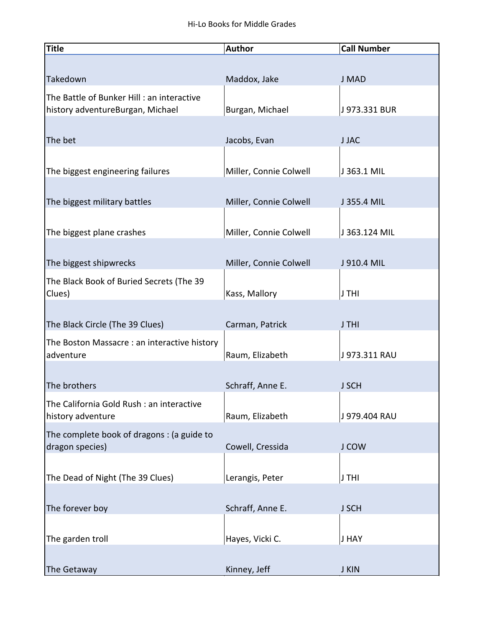| <b>Title</b>                                                                  | <b>Author</b>          | <b>Call Number</b> |
|-------------------------------------------------------------------------------|------------------------|--------------------|
|                                                                               |                        |                    |
| Takedown                                                                      | Maddox, Jake           | J MAD              |
| The Battle of Bunker Hill: an interactive<br>history adventureBurgan, Michael | Burgan, Michael        | J 973.331 BUR      |
|                                                                               |                        |                    |
| The bet                                                                       | Jacobs, Evan           | <b>JJAC</b>        |
|                                                                               |                        |                    |
| The biggest engineering failures                                              | Miller, Connie Colwell | J 363.1 MIL        |
|                                                                               |                        |                    |
| The biggest military battles                                                  | Miller, Connie Colwell | J 355.4 MIL        |
|                                                                               |                        |                    |
| The biggest plane crashes                                                     | Miller, Connie Colwell | J 363.124 MIL      |
|                                                                               |                        |                    |
| The biggest shipwrecks                                                        | Miller, Connie Colwell | J 910.4 MIL        |
| The Black Book of Buried Secrets (The 39                                      |                        |                    |
| Clues)                                                                        | Kass, Mallory          | J THI              |
| The Black Circle (The 39 Clues)                                               | Carman, Patrick        | J THI              |
|                                                                               |                        |                    |
| The Boston Massacre : an interactive history<br>adventure                     | Raum, Elizabeth        | J973.311 RAU       |
|                                                                               |                        |                    |
| The brothers                                                                  | Schraff, Anne E.       | <b>J SCH</b>       |
| The California Gold Rush : an interactive                                     |                        |                    |
| history adventure                                                             | Raum, Elizabeth        | J 979.404 RAU      |
| The complete book of dragons: (a guide to                                     |                        |                    |
| dragon species)                                                               | Cowell, Cressida       | J COW              |
|                                                                               |                        |                    |
| The Dead of Night (The 39 Clues)                                              | Lerangis, Peter        | J THI              |
|                                                                               |                        |                    |
| The forever boy                                                               | Schraff, Anne E.       | <b>J SCH</b>       |
|                                                                               |                        |                    |
| The garden troll                                                              | Hayes, Vicki C.        | <b>J HAY</b>       |
|                                                                               |                        |                    |
| The Getaway                                                                   | Kinney, Jeff           | J KIN              |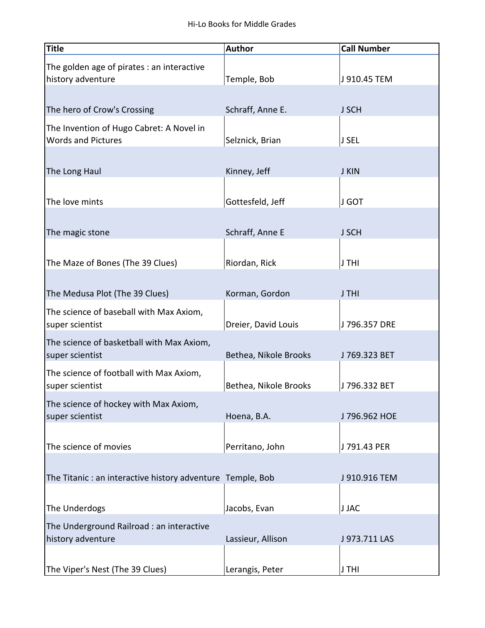| <b>Title</b>                                               | <b>Author</b>         | <b>Call Number</b> |
|------------------------------------------------------------|-----------------------|--------------------|
| The golden age of pirates : an interactive                 |                       |                    |
| history adventure                                          | Temple, Bob           | J 910.45 TEM       |
|                                                            |                       |                    |
| The hero of Crow's Crossing                                | Schraff, Anne E.      | <b>J SCH</b>       |
| The Invention of Hugo Cabret: A Novel in                   |                       |                    |
| <b>Words and Pictures</b>                                  | Selznick, Brian       | J SEL              |
|                                                            |                       |                    |
| The Long Haul                                              | Kinney, Jeff          | <b>J KIN</b>       |
|                                                            |                       |                    |
| The love mints                                             | Gottesfeld, Jeff      | J GOT              |
| The magic stone                                            | Schraff, Anne E       | <b>J SCH</b>       |
|                                                            |                       |                    |
| The Maze of Bones (The 39 Clues)                           | Riordan, Rick         | J THI              |
|                                                            |                       |                    |
| The Medusa Plot (The 39 Clues)                             | Korman, Gordon        | J THI              |
| The science of baseball with Max Axiom,                    |                       |                    |
| super scientist                                            | Dreier, David Louis   | J 796.357 DRE      |
| The science of basketball with Max Axiom,                  |                       |                    |
| super scientist                                            | Bethea, Nikole Brooks | J 769.323 BET      |
| The science of football with Max Axiom,                    |                       |                    |
| super scientist                                            | Bethea, Nikole Brooks | J796.332 BET       |
| The science of hockey with Max Axiom,                      |                       |                    |
| super scientist                                            | Hoena, B.A.           | J 796.962 HOE      |
| The science of movies                                      | Perritano, John       | J 791.43 PER       |
|                                                            |                       |                    |
| The Titanic : an interactive history adventure Temple, Bob |                       | J 910.916 TEM      |
|                                                            |                       |                    |
| The Underdogs                                              | Jacobs, Evan          | <b>J JAC</b>       |
| The Underground Railroad : an interactive                  |                       |                    |
| history adventure                                          | Lassieur, Allison     | J 973.711 LAS      |
|                                                            |                       |                    |
| The Viper's Nest (The 39 Clues)                            | Lerangis, Peter       | J THI              |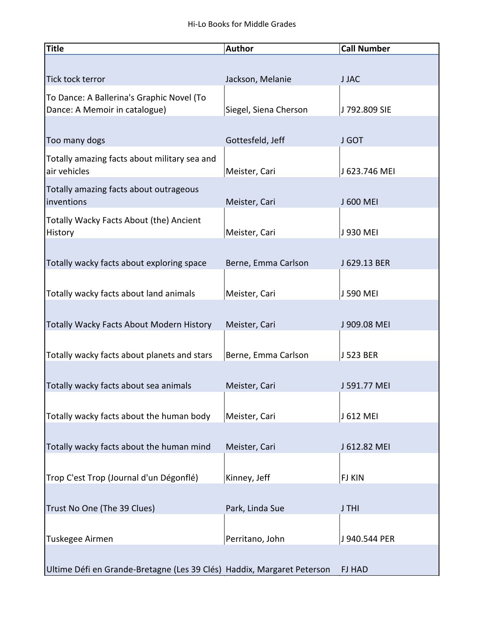| <b>Title</b>                                                               | <b>Author</b>         | <b>Call Number</b> |
|----------------------------------------------------------------------------|-----------------------|--------------------|
|                                                                            |                       |                    |
| Tick tock terror                                                           | Jackson, Melanie      | <b>JJAC</b>        |
| To Dance: A Ballerina's Graphic Novel (To<br>Dance: A Memoir in catalogue) | Siegel, Siena Cherson | J 792.809 SIE      |
| Too many dogs                                                              | Gottesfeld, Jeff      | J GOT              |
| Totally amazing facts about military sea and<br>air vehicles               | Meister, Cari         | J 623.746 MEI      |
| Totally amazing facts about outrageous<br>inventions                       | Meister, Cari         | J 600 MEI          |
| Totally Wacky Facts About (the) Ancient<br>History                         | Meister, Cari         | J 930 MEI          |
|                                                                            |                       |                    |
| Totally wacky facts about exploring space                                  | Berne, Emma Carlson   | J 629.13 BER       |
| Totally wacky facts about land animals                                     | Meister, Cari         | J 590 MEI          |
|                                                                            |                       |                    |
| <b>Totally Wacky Facts About Modern History</b>                            | Meister, Cari         | J 909.08 MEI       |
| Totally wacky facts about planets and stars                                | Berne, Emma Carlson   | J 523 BER          |
| Totally wacky facts about sea animals                                      | Meister, Cari         | J 591.77 MEI       |
| Totally wacky facts about the human body                                   | Meister, Cari         | J 612 MEI          |
|                                                                            |                       |                    |
| Totally wacky facts about the human mind                                   | Meister, Cari         | J 612.82 MEI       |
| Trop C'est Trop (Journal d'un Dégonflé)                                    | Kinney, Jeff          | <b>FJ KIN</b>      |
| Trust No One (The 39 Clues)                                                | Park, Linda Sue       | J THI              |
|                                                                            |                       |                    |
| Tuskegee Airmen                                                            | Perritano, John       | J 940.544 PER      |
| Ultime Défi en Grande-Bretagne (Les 39 Clés) Haddix, Margaret Peterson     |                       | <b>FJ HAD</b>      |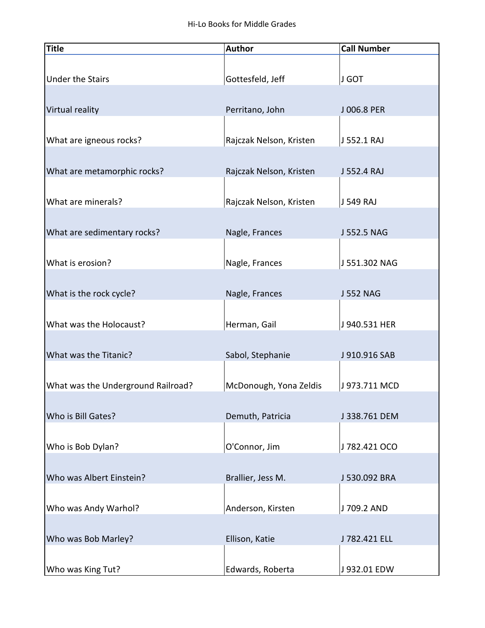| <b>Title</b>                       | <b>Author</b>           | <b>Call Number</b> |
|------------------------------------|-------------------------|--------------------|
|                                    |                         |                    |
| <b>Under the Stairs</b>            | Gottesfeld, Jeff        | J GOT              |
|                                    |                         |                    |
| Virtual reality                    | Perritano, John         | J 006.8 PER        |
|                                    |                         |                    |
| What are igneous rocks?            | Rajczak Nelson, Kristen | J 552.1 RAJ        |
|                                    |                         |                    |
| What are metamorphic rocks?        | Rajczak Nelson, Kristen | J 552.4 RAJ        |
|                                    |                         |                    |
| What are minerals?                 | Rajczak Nelson, Kristen | J 549 RAJ          |
|                                    |                         |                    |
| What are sedimentary rocks?        | Nagle, Frances          | J 552.5 NAG        |
|                                    |                         |                    |
| What is erosion?                   | Nagle, Frances          | J 551.302 NAG      |
|                                    |                         |                    |
| What is the rock cycle?            | Nagle, Frances          | <b>J 552 NAG</b>   |
|                                    |                         |                    |
| What was the Holocaust?            | Herman, Gail            | J 940.531 HER      |
|                                    |                         |                    |
| What was the Titanic?              | Sabol, Stephanie        | J 910.916 SAB      |
|                                    |                         |                    |
| What was the Underground Railroad? | McDonough, Yona Zeldis  | J 973.711 MCD      |
|                                    |                         |                    |
| Who is Bill Gates?                 | Demuth, Patricia        | J 338.761 DEM      |
|                                    |                         |                    |
| Who is Bob Dylan?                  | O'Connor, Jim           | J782.421 OCO       |
|                                    |                         |                    |
| Who was Albert Einstein?           | Brallier, Jess M.       | J 530.092 BRA      |
|                                    |                         |                    |
| Who was Andy Warhol?               | Anderson, Kirsten       | J 709.2 AND        |
|                                    |                         |                    |
| Who was Bob Marley?                | Ellison, Katie          | J 782.421 ELL      |
|                                    |                         |                    |
| Who was King Tut?                  | Edwards, Roberta        | J 932.01 EDW       |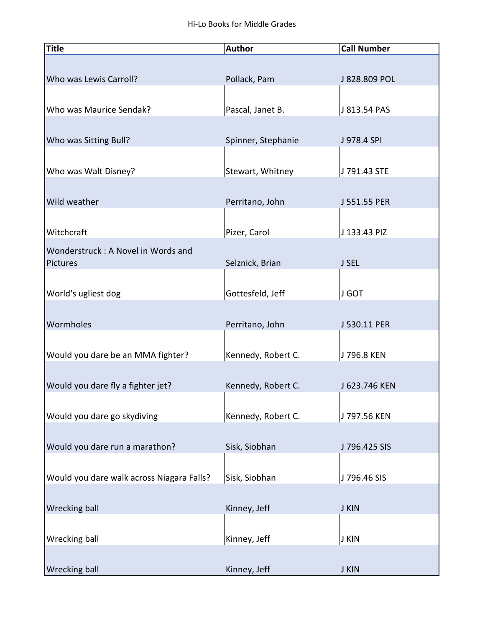| <b>Title</b>                                   | <b>Author</b>      | <b>Call Number</b> |
|------------------------------------------------|--------------------|--------------------|
|                                                |                    |                    |
| Who was Lewis Carroll?                         | Pollack, Pam       | J 828.809 POL      |
| Who was Maurice Sendak?                        | Pascal, Janet B.   | J 813.54 PAS       |
| Who was Sitting Bull?                          | Spinner, Stephanie | J 978.4 SPI        |
| Who was Walt Disney?                           | Stewart, Whitney   | J 791.43 STE       |
| Wild weather                                   | Perritano, John    | J 551.55 PER       |
| Witchcraft                                     | Pizer, Carol       | J 133.43 PIZ       |
| Wonderstruck: A Novel in Words and<br>Pictures | Selznick, Brian    | J SEL              |
| World's ugliest dog                            | Gottesfeld, Jeff   | J GOT              |
| Wormholes                                      | Perritano, John    | J 530.11 PER       |
| Would you dare be an MMA fighter?              | Kennedy, Robert C. | J 796.8 KEN        |
| Would you dare fly a fighter jet?              | Kennedy, Robert C. | J 623.746 KEN      |
| Would you dare go skydiving                    | Kennedy, Robert C. | J 797.56 KEN       |
| Would you dare run a marathon?                 | Sisk, Siobhan      | J 796.425 SIS      |
| Would you dare walk across Niagara Falls?      | Sisk, Siobhan      | J 796.46 SIS       |
| <b>Wrecking ball</b>                           | Kinney, Jeff       | J KIN              |
| Wrecking ball                                  | Kinney, Jeff       | J KIN              |
| <b>Wrecking ball</b>                           | Kinney, Jeff       | <b>J KIN</b>       |